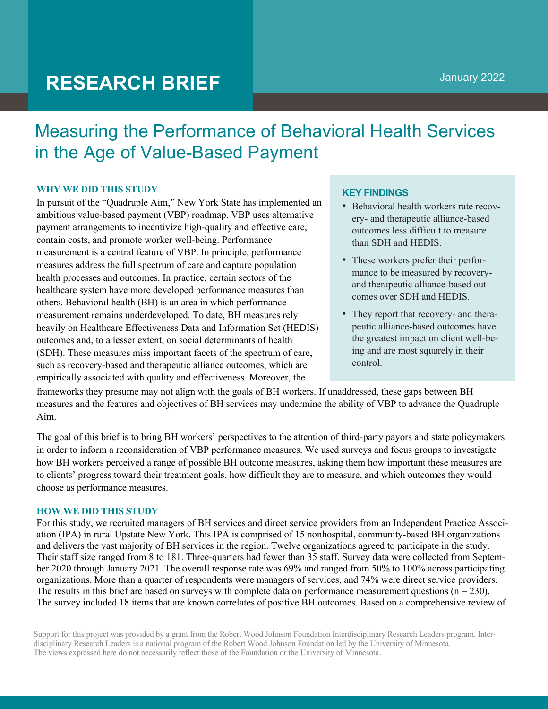# **RESEARCH BRIEF**

# Measuring the Performance of Behavioral Health Services in the Age of Value-Based Payment

## **WHY WE DID THIS STUDY**

In pursuit of the "Quadruple Aim," New York State has implemented an ambitious value-based payment (VBP) roadmap. VBP uses alternative payment arrangements to incentivize high-quality and effective care, contain costs, and promote worker well-being. Performance measurement is a central feature of VBP. In principle, performance measures address the full spectrum of care and capture population health processes and outcomes. In practice, certain sectors of the healthcare system have more developed performance measures than others. Behavioral health (BH) is an area in which performance measurement remains underdeveloped. To date, BH measures rely heavily on Healthcare Effectiveness Data and Information Set (HEDIS) outcomes and, to a lesser extent, on social determinants of health (SDH). These measures miss important facets of the spectrum of care, such as recovery-based and therapeutic alliance outcomes, which are empirically associated with quality and effectiveness. Moreover, the

# **KEY FINDINGS**

- Behavioral health workers rate recovery- and therapeutic alliance-based outcomes less difficult to measure than SDH and HEDIS.
- These workers prefer their performance to be measured by recoveryand therapeutic alliance-based outcomes over SDH and HEDIS.
- They report that recovery- and therapeutic alliance-based outcomes have the greatest impact on client well-being and are most squarely in their control.

frameworks they presume may not align with the goals of BH workers. If unaddressed, these gaps between BH measures and the features and objectives of BH services may undermine the ability of VBP to advance the Quadruple Aim.

The goal of this brief is to bring BH workers' perspectives to the attention of third-party payors and state policymakers in order to inform a reconsideration of VBP performance measures. We used surveys and focus groups to investigate how BH workers perceived a range of possible BH outcome measures, asking them how important these measures are to clients' progress toward their treatment goals, how difficult they are to measure, and which outcomes they would choose as performance measures.

#### **HOW WE DID THIS STUDY**

For this study, we recruited managers of BH services and direct service providers from an Independent Practice Association (IPA) in rural Upstate New York. This IPA is comprised of 15 nonhospital, community-based BH organizations and delivers the vast majority of BH services in the region. Twelve organizations agreed to participate in the study. Their staff size ranged from 8 to 181. Three-quarters had fewer than 35 staff. Survey data were collected from September 2020 through January 2021. The overall response rate was 69% and ranged from 50% to 100% across participating organizations. More than a quarter of respondents were managers of services, and 74% were direct service providers. The results in this brief are based on surveys with complete data on performance measurement questions  $(n = 230)$ . The survey included 18 items that are known correlates of positive BH outcomes. Based on a comprehensive review of

Support for this project was provided by a grant from the Robert Wood Johnson Foundation Interdisciplinary Research Leaders program. Interdisciplinary Research Leaders is a national program of the Robert Wood Johnson Foundation led by the University of Minnesota. The views expressed here do not necessarily reflect those of the Foundation or the University of Minnesota.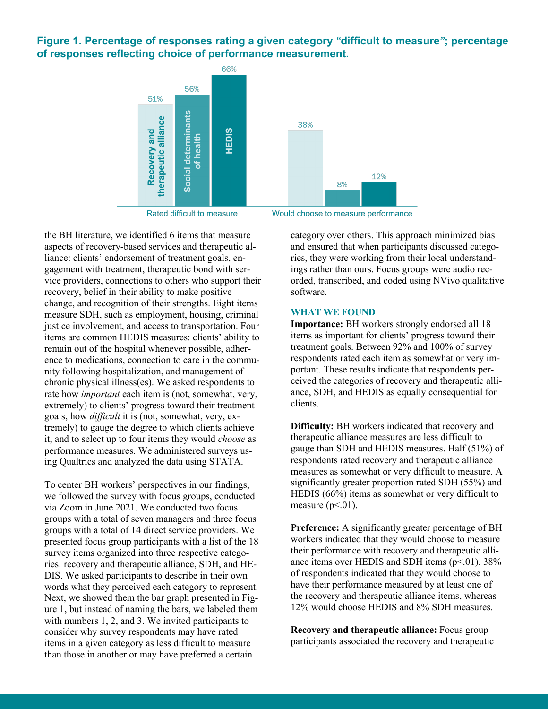**Figure 1. Percentage of responses rating a given category** *"***difficult to measure***"***; percentage of responses reflecting choice of performance measurement.**



Rated difficult to measure

the BH literature, we identified 6 items that measure aspects of recovery-based services and therapeutic alliance: clients' endorsement of treatment goals, engagement with treatment, therapeutic bond with service providers, connections to others who support their recovery, belief in their ability to make positive change, and recognition of their strengths. Eight items measure SDH, such as employment, housing, criminal justice involvement, and access to transportation. Four items are common HEDIS measures: clients' ability to remain out of the hospital whenever possible, adherence to medications, connection to care in the community following hospitalization, and management of chronic physical illness(es). We asked respondents to rate how *important* each item is (not, somewhat, very, extremely) to clients' progress toward their treatment goals, how *difficult* it is (not, somewhat, very, extremely) to gauge the degree to which clients achieve it, and to select up to four items they would *choose* as performance measures. We administered surveys using Qualtrics and analyzed the data using STATA.

To center BH workers' perspectives in our findings, we followed the survey with focus groups, conducted via Zoom in June 2021. We conducted two focus groups with a total of seven managers and three focus groups with a total of 14 direct service providers. We presented focus group participants with a list of the 18 survey items organized into three respective categories: recovery and therapeutic alliance, SDH, and HE-DIS. We asked participants to describe in their own words what they perceived each category to represent. Next, we showed them the bar graph presented in Figure 1, but instead of naming the bars, we labeled them with numbers 1, 2, and 3. We invited participants to consider why survey respondents may have rated items in a given category as less difficult to measure than those in another or may have preferred a certain

Would choose to measure performance

category over others. This approach minimized bias and ensured that when participants discussed categories, they were working from their local understandings rather than ours. Focus groups were audio recorded, transcribed, and coded using NVivo qualitative software.

#### **WHAT WE FOUND**

**Importance:** BH workers strongly endorsed all 18 items as important for clients' progress toward their treatment goals. Between 92% and 100% of survey respondents rated each item as somewhat or very important. These results indicate that respondents perceived the categories of recovery and therapeutic alliance, SDH, and HEDIS as equally consequential for clients.

**Difficulty:** BH workers indicated that recovery and therapeutic alliance measures are less difficult to gauge than SDH and HEDIS measures. Half (51%) of respondents rated recovery and therapeutic alliance measures as somewhat or very difficult to measure. A significantly greater proportion rated SDH (55%) and HEDIS (66%) items as somewhat or very difficult to measure  $(p<.01)$ .

**Preference:** A significantly greater percentage of BH workers indicated that they would choose to measure their performance with recovery and therapeutic alliance items over HEDIS and SDH items  $(p<.01)$ . 38% of respondents indicated that they would choose to have their performance measured by at least one of the recovery and therapeutic alliance items, whereas 12% would choose HEDIS and 8% SDH measures.

**Recovery and therapeutic alliance:** Focus group participants associated the recovery and therapeutic